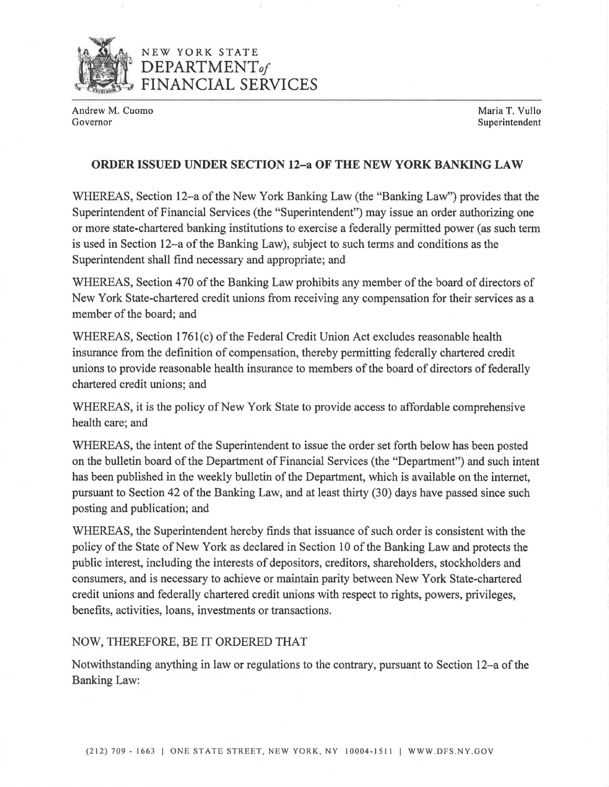

## NEW YORK STATE **DEPARTMENT***of*  **FINANCIAL SERVICES**

Andrew M. Cuomo **Maria T. Vullo**<br>Governor **Maria T. Vullo** 

Superintendent

## **ORDER ISSUED UNDER SECTION 12-a OF THE NEW YORK BANKING LAW**

WHEREAS, Section 12-a of the New York Banking Law (the "Banking Law") provides that the Superintendent of Financial Services (the "Superintendent") may issue an order authorizing one or more state-chartered banking institutions to exercise a federally permitted power (as such term is used in Section 12-a of the Banking Law), subject to such terms and conditions as the Superintendent shall find necessary and appropriate; and

WHEREAS, Section 470 of the Banking Law prohibits any member of the board of directors of New York State-chartered credit unions from receiving any compensation for their services as a member of the board; and

WHEREAS, Section 1761(c) of the Federal Credit Union Act excludes reasonable health insurance from the definition of compensation, thereby permitting federally chartered credit unions to provide reasonable health insurance to members of the board of directors of federally chartered credit unions; and

WHEREAS, it is the policy of New York State to provide access to affordable comprehensive health care; and

WHEREAS, the intent of the Superintendent to issue the order set forth below has been posted on the bulletin board of the Department of Financial Services (the "Department") and such intent has been published in the weekly bulletin of the Department, which is available on the internet, pursuant to Section 42 of the Banking Law, and at least thirty (30) days have passed since such posting and publication; and

WHEREAS, the Superintendent hereby finds that issuance of such order is consistent with the policy of the State of New York as declared in Section 10 of the Banking Law and protects the public interest, including the interests of depositors, creditors, shareholders, stockholders and consumers, and is necessary to achieve or maintain parity between New York State-chartered credit unions and federally chartered credit unions with respect to rights, powers, privileges, benefits, activities, loans, investments or transactions.

## NOW, THEREFORE, BE IT ORDERED THAT

Notwithstanding anything in law or regulations to the contrary, pursuant to Section 12-a of the Banking Law: